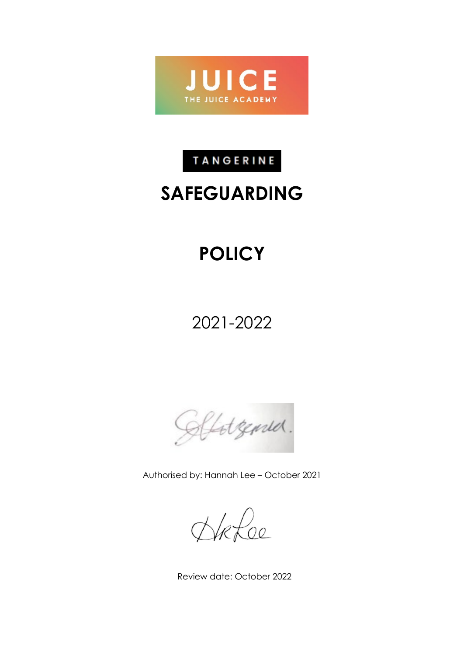

## TANGERINE

# **SAFEGUARDING**

# **POLICY**

2021-2022

Clotzenser.

Authorised by: Hannah Lee – October 2021

HRLoe

Review date: October 2022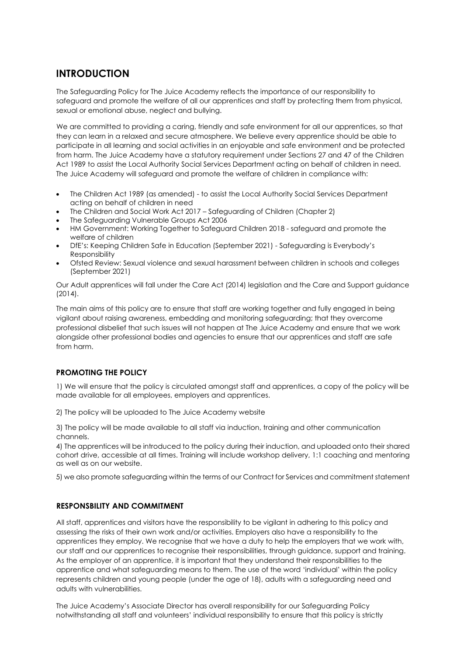## **INTRODUCTION**

The Safeguarding Policy for The Juice Academy reflects the importance of our responsibility to safeguard and promote the welfare of all our apprentices and staff by protecting them from physical, sexual or emotional abuse, neglect and bullying.

We are committed to providing a caring, friendly and safe environment for all our apprentices, so that they can learn in a relaxed and secure atmosphere. We believe every apprentice should be able to participate in all learning and social activities in an enjoyable and safe environment and be protected from harm. The Juice Academy have a statutory requirement under Sections 27 and 47 of the Children Act 1989 to assist the Local Authority Social Services Department acting on behalf of children in need. The Juice Academy will safeguard and promote the welfare of children in compliance with:

- The Children Act 1989 (as amended) to assist the Local Authority Social Services Department acting on behalf of children in need
- The Children and Social Work Act 2017 Safeguarding of Children (Chapter 2)
- The Safeguarding Vulnerable Groups Act 2006
- HM Government: Working Together to Safeguard Children 2018 safeguard and promote the welfare of children
- DfE's: Keeping Children Safe in Education (September 2021) Safeguarding is Everybody's Responsibility
- Ofsted Review: Sexual violence and sexual harassment between children in schools and colleges (September 2021)

Our Adult apprentices will fall under the Care Act (2014) legislation and the Care and Support guidance (2014).

The main aims of this policy are to ensure that staff are working together and fully engaged in being vigilant about raising awareness, embedding and monitoring safeguarding; that they overcome professional disbelief that such issues will not happen at The Juice Academy and ensure that we work alongside other professional bodies and agencies to ensure that our apprentices and staff are safe from harm.

#### **PROMOTING THE POLICY**

1) We will ensure that the policy is circulated amongst staff and apprentices, a copy of the policy will be made available for all employees, employers and apprentices.

2) The policy will be uploaded to The Juice Academy website

3) The policy will be made available to all staff via induction, training and other communication channels.

4) The apprentices will be introduced to the policy during their induction, and uploaded onto their shared cohort drive, accessible at all times. Training will include workshop delivery, 1:1 coaching and mentoring as well as on our website.

5) we also promote safeguarding within the terms of our Contract for Services and commitment statement

#### **RESPONSBILITY AND COMMITMENT**

All staff, apprentices and visitors have the responsibility to be vigilant in adhering to this policy and assessing the risks of their own work and/or activities. Employers also have a responsibility to the apprentices they employ. We recognise that we have a duty to help the employers that we work with, our staff and our apprentices to recognise their responsibilities, through guidance, support and training. As the employer of an apprentice, it is important that they understand their responsibilities to the apprentice and what safeguarding means to them. The use of the word 'individual' within the policy represents children and young people (under the age of 18), adults with a safeguarding need and adults with vulnerabilities.

The Juice Academy's Associate Director has overall responsibility for our Safeguarding Policy notwithstanding all staff and volunteers' individual responsibility to ensure that this policy is strictly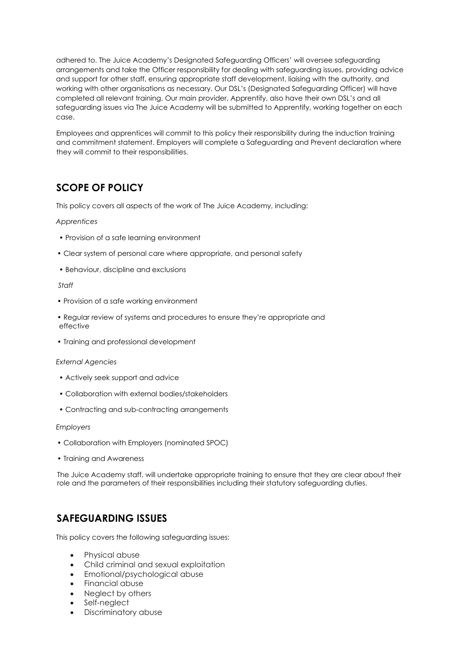adhered to. The Juice Academy's Designated Safeguarding Officers' will oversee safeguarding arrangements and take the Officer responsibility for dealing with safeguarding issues, providing advice and support for other staff, ensuring appropriate staff development, liaising with the authority, and working with other organisations as necessary. Our DSL's (Designated Safeguarding Officer) will have completed all relevant training. Our main provider, Apprentify, also have their own DSL's and all safeguarding issues via The Juice Academy will be submitted to Apprentify, working together on each case.

Employees and apprentices will commit to this policy their responsibility during the induction training and commitment statement. Employers will complete a Safeguarding and Prevent declaration where they will commit to their responsibilities.

## **SCOPE OF POLICY**

This policy covers all aspects of the work of The Juice Academy, including:

#### *Apprentices*

- Provision of a safe learning environment
- Clear system of personal care where appropriate, and personal safety
- Behaviour, discipline and exclusions

#### *Staff*

- Provision of a safe working environment
- Regular review of systems and procedures to ensure they're appropriate and effective
- Training and professional development

#### *External Agencies*

- Actively seek support and advice
- Collaboration with external bodies/stakeholders
- Contracting and sub-contracting arrangements

#### *Employers*

- Collaboration with Employers (nominated SPOC)
- Training and Awareness

The Juice Academy staff, will undertake appropriate training to ensure that they are clear about their role and the parameters of their responsibilities including their statutory safeguarding duties.

## **SAFEGUARDING ISSUES**

This policy covers the following safeguarding issues:

- Physical abuse
- Child criminal and sexual exploitation
- Emotional/psychological abuse
- Financial abuse
- Neglect by others
- Self-neglect
- Discriminatory abuse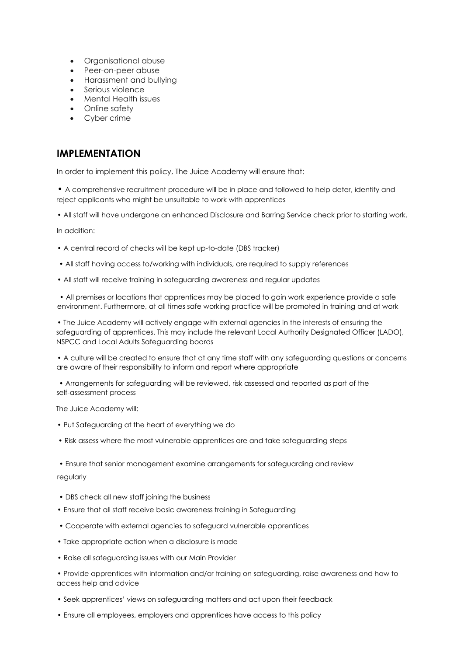- Organisational abuse
- Peer-on-peer abuse
- Harassment and bullying
- Serious violence
- Mental Health issues
- Online safety
- Cyber crime

## **IMPLEMENTATION**

In order to implement this policy, The Juice Academy will ensure that:

• A comprehensive recruitment procedure will be in place and followed to help deter, identify and reject applicants who might be unsuitable to work with apprentices

• All staff will have undergone an enhanced Disclosure and Barring Service check prior to starting work.

In addition:

- A central record of checks will be kept up-to-date (DBS tracker)
- All staff having access to/working with individuals, are required to supply references
- All staff will receive training in safeguarding awareness and regular updates

• All premises or locations that apprentices may be placed to gain work experience provide a safe environment. Furthermore, at all times safe working practice will be promoted in training and at work

• The Juice Academy will actively engage with external agencies in the interests of ensuring the safeguarding of apprentices. This may include the relevant Local Authority Designated Officer (LADO), NSPCC and Local Adults Safeguarding boards

• A culture will be created to ensure that at any time staff with any safeguarding questions or concerns are aware of their responsibility to inform and report where appropriate

• Arrangements for safeguarding will be reviewed, risk assessed and reported as part of the self-assessment process

The Juice Academy will:

- Put Safeguarding at the heart of everything we do
- Risk assess where the most vulnerable apprentices are and take safeguarding steps

• Ensure that senior management examine arrangements for safeguarding and review regularly

- DBS check all new staff joining the business
- Ensure that all staff receive basic awareness training in Safeguarding
- Cooperate with external agencies to safeguard vulnerable apprentices
- Take appropriate action when a disclosure is made
- Raise all safeguarding issues with our Main Provider

• Provide apprentices with information and/or training on safeguarding, raise awareness and how to access help and advice

- Seek apprentices' views on safeguarding matters and act upon their feedback
- Ensure all employees, employers and apprentices have access to this policy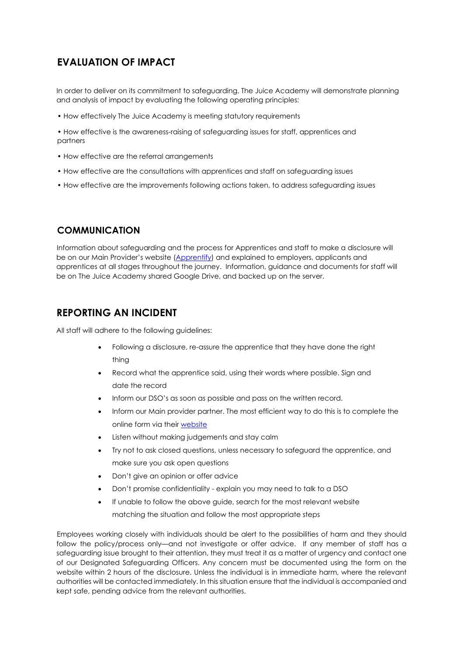## **EVALUATION OF IMPACT**

In order to deliver on its commitment to safeguarding, The Juice Academy will demonstrate planning and analysis of impact by evaluating the following operating principles:

- How effectively The Juice Academy is meeting statutory requirements
- How effective is the awareness-raising of safeguarding issues for staff, apprentices and partners
- How effective are the referral arrangements
- How effective are the consultations with apprentices and staff on safeguarding issues
- How effective are the improvements following actions taken, to address safeguarding issues

#### **COMMUNICATION**

Information about safeguarding and the process for Apprentices and staff to make a disclosure will be on our Main Provider's website [\(Apprentify\)](https://www.apprentify.com/) and explained to employers, applicants and apprentices at all stages throughout the journey. Information, guidance and documents for staff will be on The Juice Academy shared Google Drive, and backed up on the server.

#### **REPORTING AN INCIDENT**

All staff will adhere to the following guidelines:

- Following a disclosure, re-assure the apprentice that they have done the right thing
- Record what the apprentice said, using their words where possible. Sign and date the record
- Inform our DSO's as soon as possible and pass on the written record.
- Inform our Main provider partner. The most efficient way to do this is to complete the online form via their [website](https://www.apprentify.com/)
- Listen without making judgements and stay calm
- Try not to ask closed questions, unless necessary to safeguard the apprentice, and make sure you ask open questions
- Don't give an opinion or offer advice
- Don't promise confidentiality explain you may need to talk to a DSO
- If unable to follow the above guide, search for the most relevant website matching the situation and follow the most appropriate steps

Employees working closely with individuals should be alert to the possibilities of harm and they should follow the policy/process only—and not investigate or offer advice. If any member of staff has a safeguarding issue brought to their attention, they must treat it as a matter of urgency and contact one of our Designated Safeguarding Officers. Any concern must be documented using the form on the website within 2 hours of the disclosure. Unless the individual is in immediate harm, where the relevant authorities will be contacted immediately. In this situation ensure that the individual is accompanied and kept safe, pending advice from the relevant authorities.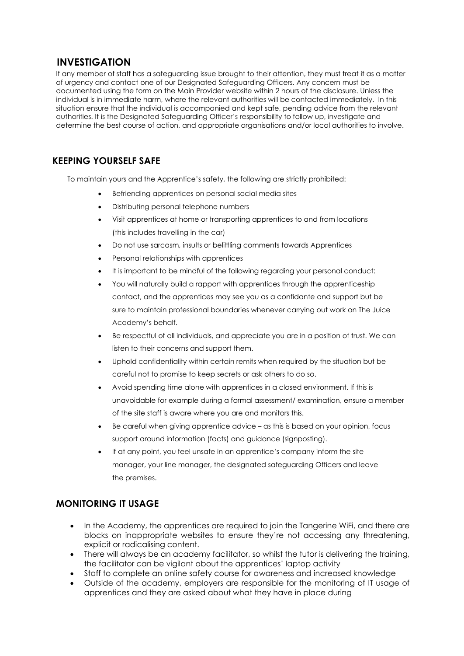### **INVESTIGATION**

If any member of staff has a safeguarding issue brought to their attention, they must treat it as a matter of urgency and contact one of our Designated Safeguarding Officers. Any concern must be documented using the form on the Main Provider website within 2 hours of the disclosure. Unless the individual is in immediate harm, where the relevant authorities will be contacted immediately. In this situation ensure that the individual is accompanied and kept safe, pending advice from the relevant authorities. It is the Designated Safeguarding Officer's responsibility to follow up, investigate and determine the best course of action, and appropriate organisations and/or local authorities to involve.

## **KEEPING YOURSELF SAFE**

To maintain yours and the Apprentice's safety, the following are strictly prohibited:

- Befriending apprentices on personal social media sites
- Distributing personal telephone numbers
- Visit apprentices at home or transporting apprentices to and from locations (this includes travelling in the car)
- Do not use sarcasm, insults or belittling comments towards Apprentices
- Personal relationships with apprentices
- It is important to be mindful of the following regarding your personal conduct:
- You will naturally build a rapport with apprentices through the apprenticeship contact, and the apprentices may see you as a confidante and support but be sure to maintain professional boundaries whenever carrying out work on The Juice Academy's behalf.
- Be respectful of all individuals, and appreciate you are in a position of trust. We can listen to their concerns and support them.
- Uphold confidentiality within certain remits when required by the situation but be careful not to promise to keep secrets or ask others to do so.
- Avoid spending time alone with apprentices in a closed environment. If this is unavoidable for example during a formal assessment/ examination, ensure a member of the site staff is aware where you are and monitors this.
- Be careful when giving apprentice advice as this is based on your opinion, focus support around information (facts) and guidance (signposting).
- If at any point, you feel unsafe in an apprentice's company inform the site manager, your line manager, the designated safeguarding Officers and leave the premises.

### **MONITORING IT USAGE**

- In the Academy, the apprentices are required to join the Tangerine WiFi, and there are blocks on inappropriate websites to ensure they're not accessing any threatening, explicit or radicalising content.
- There will always be an academy facilitator, so whilst the tutor is delivering the training, the facilitator can be vigilant about the apprentices' laptop activity
- Staff to complete an online safety course for awareness and increased knowledge
- Outside of the academy, employers are responsible for the monitoring of IT usage of apprentices and they are asked about what they have in place during